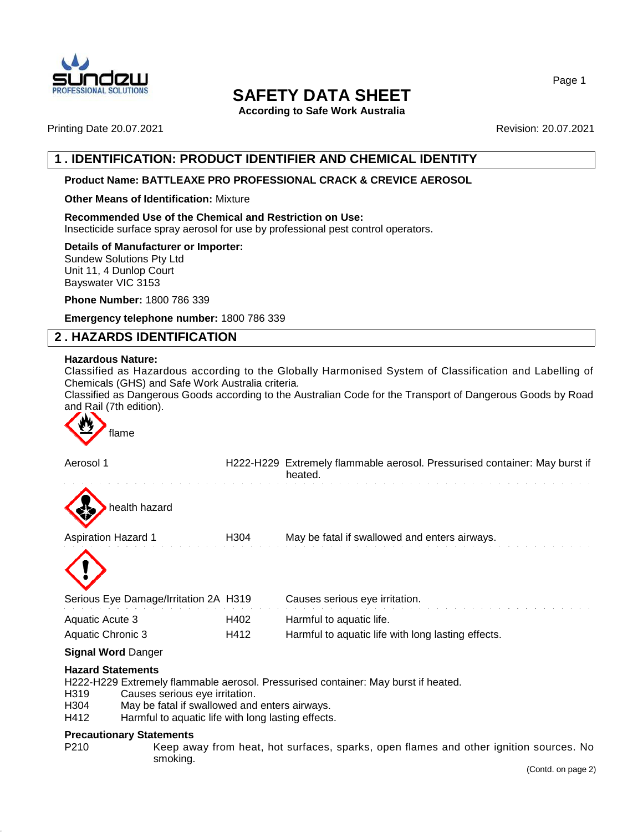

**According to Safe Work Australia**

Printing Date 20.07.2021 Revision: 20.07.2021

# **1 . IDENTIFICATION: PRODUCT IDENTIFIER AND CHEMICAL IDENTITY**

## **Product Name: BATTLEAXE PRO PROFESSIONAL CRACK & CREVICE AEROSOL**

## **Other Means of Identification:** Mixture

**Recommended Use of the Chemical and Restriction on Use:** Insecticide surface spray aerosol for use by professional pest control operators.

### **Details of Manufacturer or Importer:**

Sundew Solutions Pty Ltd Unit 11, 4 Dunlop Court Bayswater VIC 3153

**Phone Number:** 1800 786 339

**Emergency telephone number:** 1800 786 339

# **2 . HAZARDS IDENTIFICATION**

### **Hazardous Nature:**

Classified as Hazardous according to the Globally Harmonised System of Classification and Labelling of Chemicals (GHS) and Safe Work Australia criteria.

Classified as Dangerous Goods according to the Australian Code for the Transport of Dangerous Goods by Road and Rail (7th edition).



| Aerosol 1                             |                  | H222-H229 Extremely flammable aerosol. Pressurised container: May burst if<br>heated. |
|---------------------------------------|------------------|---------------------------------------------------------------------------------------|
| health hazard                         |                  |                                                                                       |
| <b>Aspiration Hazard 1</b>            | H <sub>304</sub> | May be fatal if swallowed and enters airways.                                         |
|                                       |                  |                                                                                       |
| Serious Eye Damage/Irritation 2A H319 |                  | Causes serious eye irritation.                                                        |
| Aquatic Acute 3                       | H402             | Harmful to aquatic life.                                                              |
| Aquatic Chronic 3                     | H412             | Harmful to aquatic life with long lasting effects.                                    |
| <b>Signal Word Danger</b>             |                  |                                                                                       |
| Hazard Cintamonic                     |                  |                                                                                       |

**Hazard Statements**

H222-H229 Extremely flammable aerosol. Pressurised container: May burst if heated.

- H319 Causes serious eye irritation.
- H304 May be fatal if swallowed and enters airways.<br>H412 Harmful to aquatic life with long lasting effects
- Harmful to aquatic life with long lasting effects.

#### **Precautionary Statements**

P210 Keep away from heat, hot surfaces, sparks, open flames and other ignition sources. No smoking.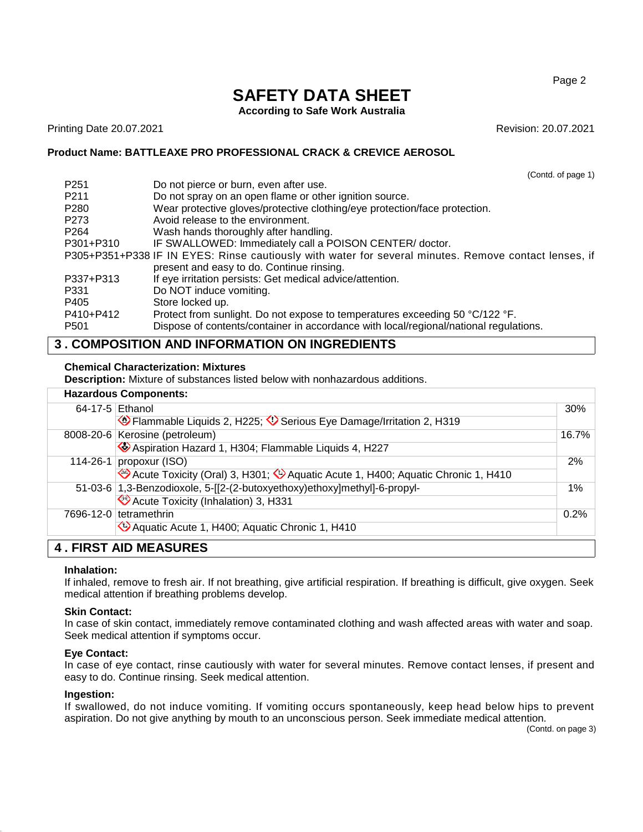### Page 2

# **SAFETY DATA SHEET**

**According to Safe Work Australia**

Printing Date 20.07.2021 Revision: 20.07.2021

(Contd. of page 1)

## **Product Name: BATTLEAXE PRO PROFESSIONAL CRACK & CREVICE AEROSOL**

P251 Do not pierce or burn, even after use. P211 Do not spray on an open flame or other ignition source. P280 Wear protective gloves/protective clothing/eye protection/face protection. P273 Avoid release to the environment. P264 Wash hands thoroughly after handling. P301+P310 IF SWALLOWED: Immediately call a POISON CENTER/ doctor. P305+P351+P338 IF IN EYES: Rinse cautiously with water for several minutes. Remove contact lenses, if present and easy to do. Continue rinsing. P337+P313 If eye irritation persists: Get medical advice/attention. P331 Do NOT induce vomiting. P405 Store locked up. P410+P412 Protect from sunlight. Do not expose to temperatures exceeding 50 °C/122 °F. P501 Dispose of contents/container in accordance with local/regional/national regulations.

# **3 . COMPOSITION AND INFORMATION ON INGREDIENTS**

## **Chemical Characterization: Mixtures**

**Description:** Mixture of substances listed below with nonhazardous additions.

| <b>Hazardous Components:</b> |  |
|------------------------------|--|
| $64-17-5$ Fthanol            |  |

|  | 64-17-5 Ethanol                                                                 |    |
|--|---------------------------------------------------------------------------------|----|
|  | Flammable Liquids 2, H225; V Serious Eye Damage/Irritation 2, H319              |    |
|  | 8008-20-6 Kerosine (petroleum)                                                  |    |
|  | Aspiration Hazard 1, H304; Flammable Liquids 4, H227                            |    |
|  | 114-26-1 propoxur (ISO)                                                         | 2% |
|  | Acute Toxicity (Oral) 3, H301; 2 Aquatic Acute 1, H400; Aquatic Chronic 1, H410 |    |
|  | 51-03-6 1,3-Benzodioxole, 5-[[2-(2-butoxyethoxy)ethoxy]methyl]-6-propyl-        | 1% |
|  | Acute Toxicity (Inhalation) 3, H331                                             |    |
|  | 7696-12-0 tetramethrin                                                          |    |
|  | Aquatic Acute 1, H400; Aquatic Chronic 1, H410                                  |    |
|  | <b>4. FIRST AID MEASURES</b>                                                    |    |

## **Inhalation:**

If inhaled, remove to fresh air. If not breathing, give artificial respiration. If breathing is difficult, give oxygen. Seek medical attention if breathing problems develop.

## **Skin Contact:**

In case of skin contact, immediately remove contaminated clothing and wash affected areas with water and soap. Seek medical attention if symptoms occur.

## **Eye Contact:**

In case of eye contact, rinse cautiously with water for several minutes. Remove contact lenses, if present and easy to do. Continue rinsing. Seek medical attention.

## **Ingestion:**

If swallowed, do not induce vomiting. If vomiting occurs spontaneously, keep head below hips to prevent aspiration. Do not give anything by mouth to an unconscious person. Seek immediate medical attention.

(Contd. on page 3)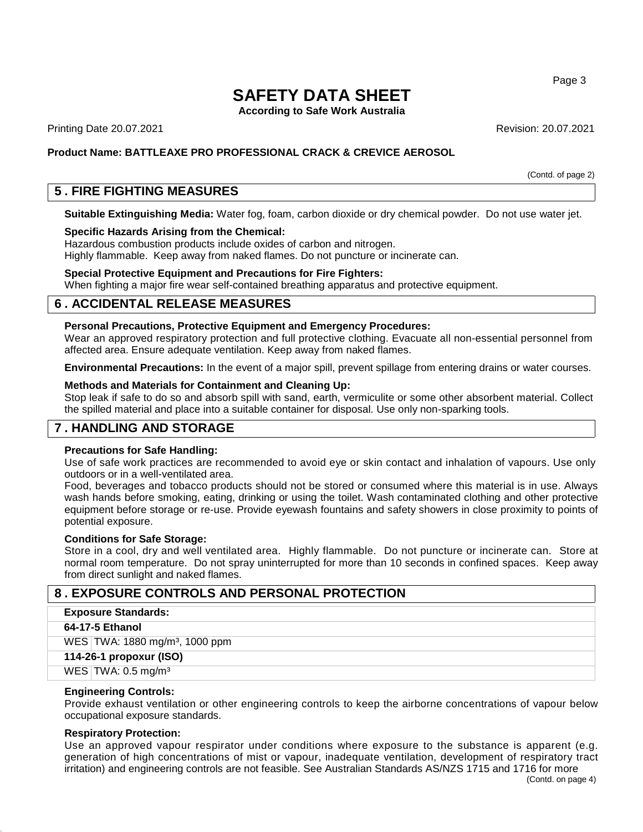**According to Safe Work Australia**

Printing Date 20.07.2021 Revision: 20.07.2021

## **Product Name: BATTLEAXE PRO PROFESSIONAL CRACK & CREVICE AEROSOL**

(Contd. of page 2)

# **5 . FIRE FIGHTING MEASURES**

**Suitable Extinguishing Media:** Water fog, foam, carbon dioxide or dry chemical powder. Do not use water jet.

## **Specific Hazards Arising from the Chemical:**

Hazardous combustion products include oxides of carbon and nitrogen. Highly flammable. Keep away from naked flames. Do not puncture or incinerate can.

### **Special Protective Equipment and Precautions for Fire Fighters:**

When fighting a major fire wear self-contained breathing apparatus and protective equipment.

# **6 . ACCIDENTAL RELEASE MEASURES**

## **Personal Precautions, Protective Equipment and Emergency Procedures:**

Wear an approved respiratory protection and full protective clothing. Evacuate all non-essential personnel from affected area. Ensure adequate ventilation. Keep away from naked flames.

**Environmental Precautions:** In the event of a major spill, prevent spillage from entering drains or water courses.

### **Methods and Materials for Containment and Cleaning Up:**

Stop leak if safe to do so and absorb spill with sand, earth, vermiculite or some other absorbent material. Collect the spilled material and place into a suitable container for disposal. Use only non-sparking tools.

## **7 . HANDLING AND STORAGE**

### **Precautions for Safe Handling:**

Use of safe work practices are recommended to avoid eye or skin contact and inhalation of vapours. Use only outdoors or in a well-ventilated area.

Food, beverages and tobacco products should not be stored or consumed where this material is in use. Always wash hands before smoking, eating, drinking or using the toilet. Wash contaminated clothing and other protective equipment before storage or re-use. Provide eyewash fountains and safety showers in close proximity to points of potential exposure.

#### **Conditions for Safe Storage:**

Store in a cool, dry and well ventilated area. Highly flammable. Do not puncture or incinerate can. Store at normal room temperature. Do not spray uninterrupted for more than 10 seconds in confined spaces. Keep away from direct sunlight and naked flames.

## **8 . EXPOSURE CONTROLS AND PERSONAL PROTECTION**

#### **Exposure Standards:**

### **64-17-5 Ethanol**

WES TWA: 1880 mg/m<sup>3</sup>, 1000 ppm

# **114-26-1 propoxur (ISO)**

### WES TWA: 0.5 mg/m<sup>3</sup>

## **Engineering Controls:**

Provide exhaust ventilation or other engineering controls to keep the airborne concentrations of vapour below occupational exposure standards.

## **Respiratory Protection:**

Use an approved vapour respirator under conditions where exposure to the substance is apparent (e.g. generation of high concentrations of mist or vapour, inadequate ventilation, development of respiratory tract irritation) and engineering controls are not feasible. See Australian Standards AS/NZS 1715 and 1716 for more

Page 3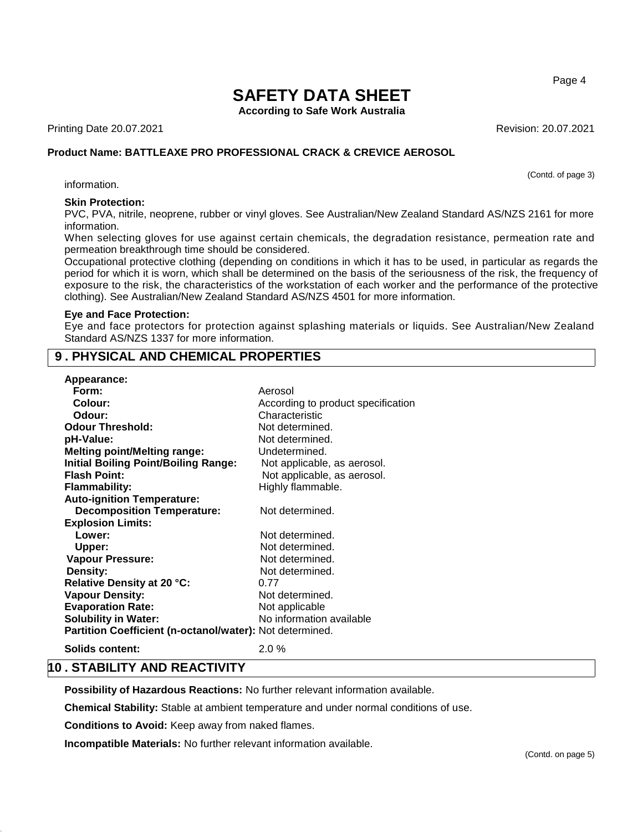**According to Safe Work Australia**

Printing Date 20.07.2021 Revision: 20.07.2021

## **Product Name: BATTLEAXE PRO PROFESSIONAL CRACK & CREVICE AEROSOL**

information.

## **Skin Protection:**

PVC, PVA, nitrile, neoprene, rubber or vinyl gloves. See Australian/New Zealand Standard AS/NZS 2161 for more information.

When selecting gloves for use against certain chemicals, the degradation resistance, permeation rate and permeation breakthrough time should be considered.

Occupational protective clothing (depending on conditions in which it has to be used, in particular as regards the period for which it is worn, which shall be determined on the basis of the seriousness of the risk, the frequency of exposure to the risk, the characteristics of the workstation of each worker and the performance of the protective clothing). See Australian/New Zealand Standard AS/NZS 4501 for more information.

#### **Eye and Face Protection:**

Eye and face protectors for protection against splashing materials or liquids. See Australian/New Zealand Standard AS/NZS 1337 for more information.

# **9 . PHYSICAL AND CHEMICAL PROPERTIES**

| Appearance:                                              |                                    |
|----------------------------------------------------------|------------------------------------|
| Form:                                                    | Aerosol                            |
| Colour:                                                  | According to product specification |
| Odour:                                                   | Characteristic                     |
| <b>Odour Threshold:</b>                                  | Not determined.                    |
| pH-Value:                                                | Not determined.                    |
| <b>Melting point/Melting range:</b>                      | Undetermined.                      |
| <b>Initial Boiling Point/Boiling Range:</b>              | Not applicable, as aerosol.        |
| <b>Flash Point:</b>                                      | Not applicable, as aerosol.        |
| <b>Flammability:</b>                                     | Highly flammable.                  |
| <b>Auto-ignition Temperature:</b>                        |                                    |
| <b>Decomposition Temperature:</b>                        | Not determined.                    |
| <b>Explosion Limits:</b>                                 |                                    |
| Lower:                                                   | Not determined.                    |
| Upper:                                                   | Not determined.                    |
| Vapour Pressure:                                         | Not determined.                    |
| Density:                                                 | Not determined.                    |
| Relative Density at 20 °C:                               | 0.77                               |
| <b>Vapour Density:</b>                                   | Not determined.                    |
| <b>Evaporation Rate:</b>                                 | Not applicable                     |
| <b>Solubility in Water:</b>                              | No information available           |
| Partition Coefficient (n-octanol/water): Not determined. |                                    |
|                                                          |                                    |

**Solids content:** 2.0 %

# **10 . STABILITY AND REACTIVITY**

**Possibility of Hazardous Reactions:** No further relevant information available.

**Chemical Stability:** Stable at ambient temperature and under normal conditions of use.

**Conditions to Avoid:** Keep away from naked flames.

**Incompatible Materials:** No further relevant information available.

Page 4

(Contd. of page 3)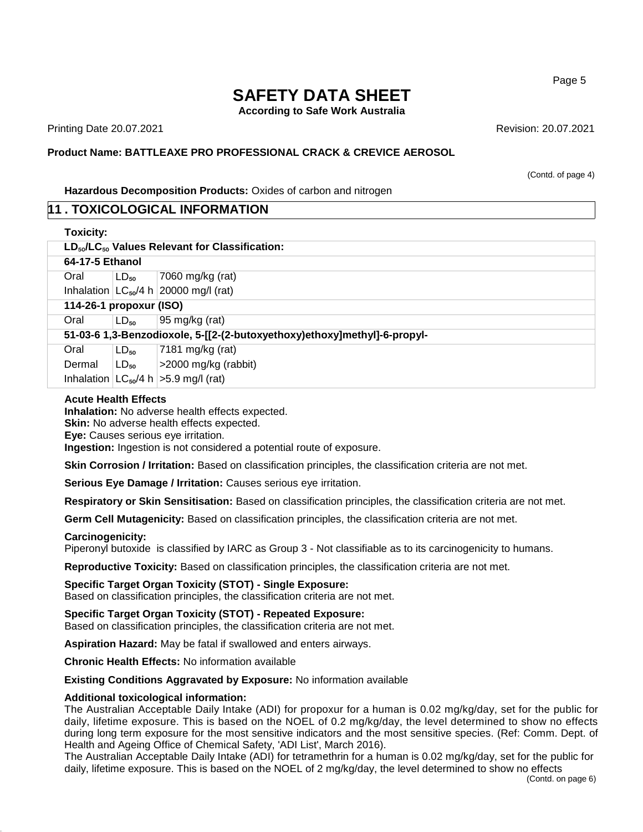**According to Safe Work Australia**

Printing Date 20.07.2021 Revision: 20.07.2021

## **Product Name: BATTLEAXE PRO PROFESSIONAL CRACK & CREVICE AEROSOL**

(Contd. of page 4)

**Hazardous Decomposition Products:** Oxides of carbon and nitrogen

## **11 . TOXICOLOGICAL INFORMATION**

| <b>Toxicity:</b>                                                         |           |                                             |  |
|--------------------------------------------------------------------------|-----------|---------------------------------------------|--|
| $LD_{50}/LC_{50}$ Values Relevant for Classification:                    |           |                                             |  |
| 64-17-5 Ethanol                                                          |           |                                             |  |
| Oral                                                                     | $LD_{50}$ | 7060 mg/kg (rat)                            |  |
|                                                                          |           | Inhalation $LC_{50}/4 h$ 20000 mg/l (rat)   |  |
| 114-26-1 propoxur (ISO)                                                  |           |                                             |  |
| Oral                                                                     | $LD_{50}$ | 95 mg/kg (rat)                              |  |
| 51-03-6 1,3-Benzodioxole, 5-[[2-(2-butoxyethoxy)ethoxy]methyl]-6-propyl- |           |                                             |  |
| Oral                                                                     | $LD_{50}$ | 7181 mg/kg (rat)                            |  |
| Dermal                                                                   | $LD_{50}$ | $\geq$ 2000 mg/kg (rabbit)                  |  |
|                                                                          |           | Inhalation $ LC_{50}/4 h  > 5.9$ mg/l (rat) |  |

### **Acute Health Effects**

**Inhalation:** No adverse health effects expected.

**Skin:** No adverse health effects expected.

**Eye:** Causes serious eye irritation.

**Ingestion:** Ingestion is not considered a potential route of exposure.

**Skin Corrosion / Irritation:** Based on classification principles, the classification criteria are not met.

**Serious Eye Damage / Irritation:** Causes serious eye irritation.

**Respiratory or Skin Sensitisation:** Based on classification principles, the classification criteria are not met.

**Germ Cell Mutagenicity:** Based on classification principles, the classification criteria are not met.

## **Carcinogenicity:**

Piperonyl butoxide is classified by IARC as Group 3 - Not classifiable as to its carcinogenicity to humans.

**Reproductive Toxicity:** Based on classification principles, the classification criteria are not met.

**Specific Target Organ Toxicity (STOT) - Single Exposure:** Based on classification principles, the classification criteria are not met.

**Specific Target Organ Toxicity (STOT) - Repeated Exposure:** Based on classification principles, the classification criteria are not met.

**Aspiration Hazard:** May be fatal if swallowed and enters airways.

**Chronic Health Effects:** No information available

**Existing Conditions Aggravated by Exposure:** No information available

## **Additional toxicological information:**

The Australian Acceptable Daily Intake (ADI) for propoxur for a human is 0.02 mg/kg/day, set for the public for daily, lifetime exposure. This is based on the NOEL of 0.2 mg/kg/day, the level determined to show no effects during long term exposure for the most sensitive indicators and the most sensitive species. (Ref: Comm. Dept. of Health and Ageing Office of Chemical Safety, 'ADI List', March 2016).

The Australian Acceptable Daily Intake (ADI) for tetramethrin for a human is 0.02 mg/kg/day, set for the public for daily, lifetime exposure. This is based on the NOEL of 2 mg/kg/day, the level determined to show no effects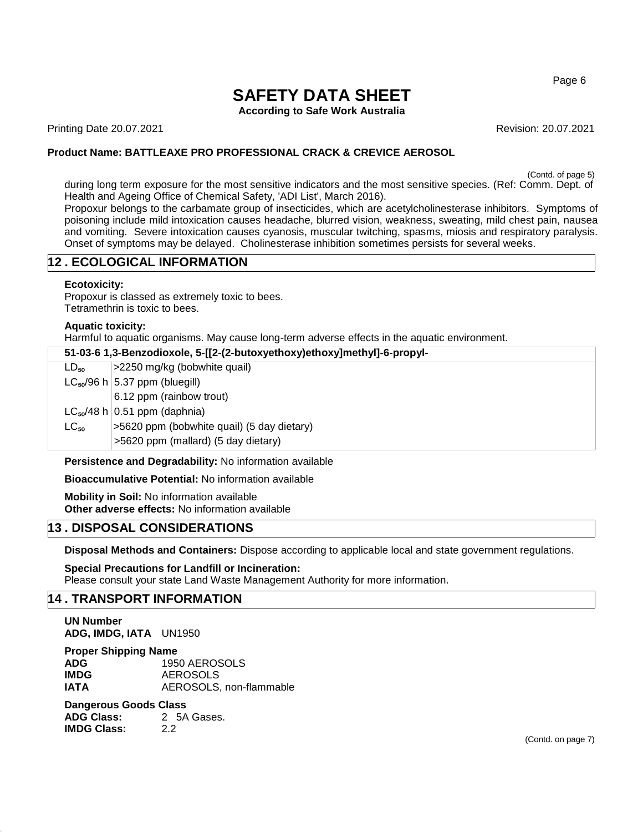### Page 6

# **SAFETY DATA SHEET**

**According to Safe Work Australia**

Printing Date 20.07.2021 Revision: 20.07.2021

## **Product Name: BATTLEAXE PRO PROFESSIONAL CRACK & CREVICE AEROSOL**

(Contd. of page 5)

during long term exposure for the most sensitive indicators and the most sensitive species. (Ref: Comm. Dept. of Health and Ageing Office of Chemical Safety, 'ADI List', March 2016).

Propoxur belongs to the carbamate group of insecticides, which are acetylcholinesterase inhibitors. Symptoms of poisoning include mild intoxication causes headache, blurred vision, weakness, sweating, mild chest pain, nausea and vomiting. Severe intoxication causes cyanosis, muscular twitching, spasms, miosis and respiratory paralysis. Onset of symptoms may be delayed. Cholinesterase inhibition sometimes persists for several weeks.

# **12 . ECOLOGICAL INFORMATION**

## **Ecotoxicity:**

Propoxur is classed as extremely toxic to bees. Tetramethrin is toxic to bees.

## **Aquatic toxicity:**

Harmful to aquatic organisms. May cause long-term adverse effects in the aquatic environment.

| 51-03-6 1,3-Benzodioxole, 5-[[2-(2-butoxyethoxy)ethoxy]methyl]-6-propyl- |                                            |
|--------------------------------------------------------------------------|--------------------------------------------|
| $LD_{50}$                                                                | >2250 mg/kg (bobwhite quail)               |
|                                                                          | $LC_{50}/96$ h $ 5.37$ ppm (bluegill)      |
|                                                                          | 6.12 ppm (rainbow trout)                   |
|                                                                          | $LC_{50}/48$ h 0.51 ppm (daphnia)          |
| $LC_{50}$                                                                | >5620 ppm (bobwhite quail) (5 day dietary) |
|                                                                          | >5620 ppm (mallard) (5 day dietary)        |
|                                                                          |                                            |

**Persistence and Degradability:** No information available

**Bioaccumulative Potential:** No information available

**Mobility in Soil:** No information available **Other adverse effects:** No information available

# **13 . DISPOSAL CONSIDERATIONS**

**Disposal Methods and Containers:** Dispose according to applicable local and state government regulations.

**Special Precautions for Landfill or Incineration:** Please consult your state Land Waste Management Authority for more information.

# **14 . TRANSPORT INFORMATION**

**UN Number ADG, IMDG, IATA** UN1950

**Proper Shipping Name**

**ADG** 1950 AEROSOLS **IMDG** AEROSOLS **IATA** AEROSOLS, non-flammable

## **Dangerous Goods Class**

**ADG Class:** 2 5A Gases. **IMDG Class:** 2.2

(Contd. on page 7)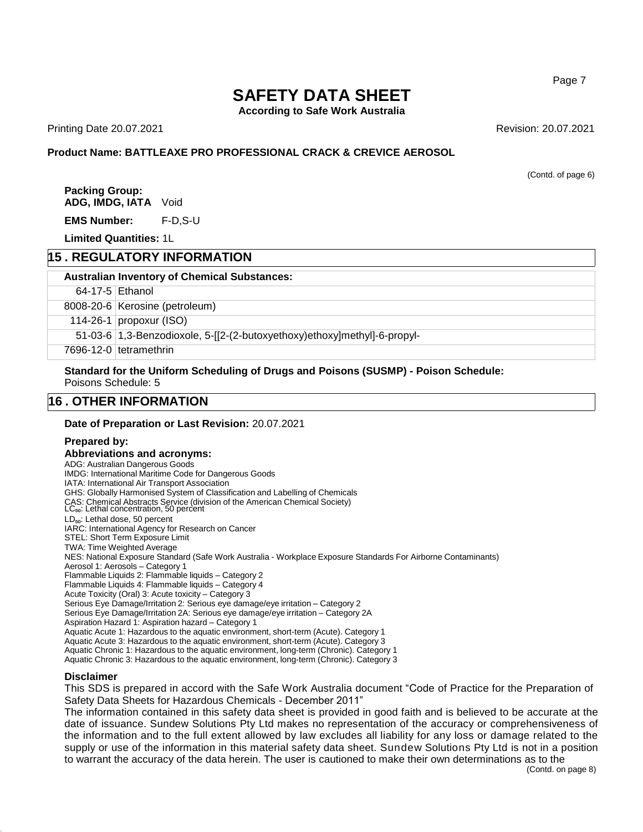#### Page 7

# **SAFETY DATA SHEET**

**According to Safe Work Australia**

Printing Date 20.07.2021 Revision: 20.07.2021

## **Product Name: BATTLEAXE PRO PROFESSIONAL CRACK & CREVICE AEROSOL**

(Contd. of page 6)

**Packing Group: ADG, IMDG, IATA** Void

**EMS Number:** F-D,S-U

**Limited Quantities:** 1L

## **15 . REGULATORY INFORMATION**

#### **Australian Inventory of Chemical Substances:**

64-17-5 Ethanol

8008-20-6 Kerosine (petroleum)

114-26-1 propoxur (ISO)

51-03-6 1,3-Benzodioxole, 5-[[2-(2-butoxyethoxy)ethoxy]methyl]-6-propyl-

7696-12-0 tetramethrin

**Standard for the Uniform Scheduling of Drugs and Poisons (SUSMP) - Poison Schedule:** Poisons Schedule: 5

## **16 . OTHER INFORMATION**

**Date of Preparation or Last Revision:** 20.07.2021

## **Prepared by:**

**Abbreviations and acronyms:** ADG: Australian Dangerous Goods IMDG: International Maritime Code for Dangerous Goods IATA: International Air Transport Association GHS: Globally Harmonised System of Classification and Labelling of Chemicals CAS: Chemical Abstracts Service (division of the American Chemical Society)<br>LC<sub>so</sub>: Lethal concentration, 50 percent LD<sub>50</sub>: Lethal dose, 50 percent IARC: International Agency for Research on Cancer STEL: Short Term Exposure Limit TWA: Time Weighted Average NES: National Exposure Standard (Safe Work Australia - Workplace Exposure Standards For Airborne Contaminants) Aerosol 1: Aerosols – Category 1 Flammable Liquids 2: Flammable liquids – Category 2 Flammable Liquids 4: Flammable liquids – Category 4 Acute Toxicity (Oral) 3: Acute toxicity – Category 3 Serious Eye Damage/Irritation 2: Serious eye damage/eye irritation – Category 2 Serious Eye Damage/Irritation 2A: Serious eye damage/eye irritation – Category 2A Aspiration Hazard 1: Aspiration hazard – Category 1 Aquatic Acute 1: Hazardous to the aquatic environment, short-term (Acute). Category 1 Aquatic Acute 3: Hazardous to the aquatic environment, short-term (Acute). Category 3 Aquatic Chronic 1: Hazardous to the aquatic environment, long-term (Chronic). Category 1 Aquatic Chronic 3: Hazardous to the aquatic environment, long-term (Chronic). Category 3

#### **Disclaimer**

This SDS is prepared in accord with the Safe Work Australia document "Code of Practice for the Preparation of Safety Data Sheets for Hazardous Chemicals - December 2011"

The information contained in this safety data sheet is provided in good faith and is believed to be accurate at the date of issuance. Sundew Solutions Pty Ltd makes no representation of the accuracy or comprehensiveness of the information and to the full extent allowed by law excludes all liability for any loss or damage related to the supply or use of the information in this material safety data sheet. Sundew Solutions Pty Ltd is not in a position to warrant the accuracy of the data herein. The user is cautioned to make their own determinations as to the